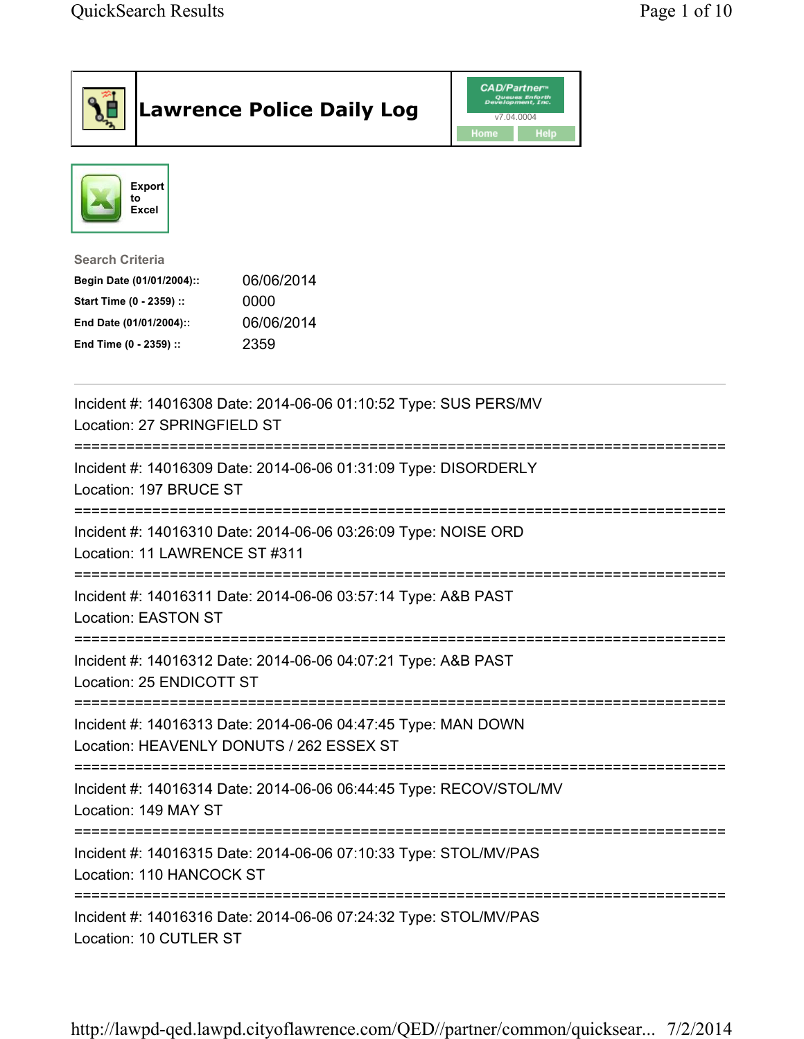| <b>Lawrence Police Daily Log</b>                                                                                                                                                 | <b>CAD/Partner</b><br>Queues Enforth<br>Development, Inc.<br>v7.04.0004<br>Home<br><b>Help</b> |
|----------------------------------------------------------------------------------------------------------------------------------------------------------------------------------|------------------------------------------------------------------------------------------------|
| <b>Export</b><br>to<br>Excel                                                                                                                                                     |                                                                                                |
| <b>Search Criteria</b><br>06/06/2014<br>Begin Date (01/01/2004)::<br>Start Time (0 - 2359) ::<br>0000<br>06/06/2014<br>End Date (01/01/2004)::<br>2359<br>End Time (0 - 2359) :: |                                                                                                |
| Incident #: 14016308 Date: 2014-06-06 01:10:52 Type: SUS PERS/MV<br>Location: 27 SPRINGFIELD ST                                                                                  |                                                                                                |
| Incident #: 14016309 Date: 2014-06-06 01:31:09 Type: DISORDERLY<br>Location: 197 BRUCE ST                                                                                        |                                                                                                |
| Incident #: 14016310 Date: 2014-06-06 03:26:09 Type: NOISE ORD<br>Location: 11 LAWRENCE ST #311                                                                                  |                                                                                                |
| Incident #: 14016311 Date: 2014-06-06 03:57:14 Type: A&B PAST<br><b>Location: EASTON ST</b>                                                                                      |                                                                                                |
| Incident #: 14016312 Date: 2014-06-06 04:07:21 Type: A&B PAST<br>Location: 25 ENDICOTT ST                                                                                        |                                                                                                |
| Incident #: 14016313 Date: 2014-06-06 04:47:45 Type: MAN DOWN<br>Location: HEAVENLY DONUTS / 262 ESSEX ST                                                                        |                                                                                                |
| Incident #: 14016314 Date: 2014-06-06 06:44:45 Type: RECOV/STOL/MV<br>Location: 149 MAY ST                                                                                       |                                                                                                |
| Incident #: 14016315 Date: 2014-06-06 07:10:33 Type: STOL/MV/PAS<br>Location: 110 HANCOCK ST                                                                                     |                                                                                                |
| Incident #: 14016316 Date: 2014-06-06 07:24:32 Type: STOL/MV/PAS<br>Location: 10 CUTLER ST                                                                                       | ========================                                                                       |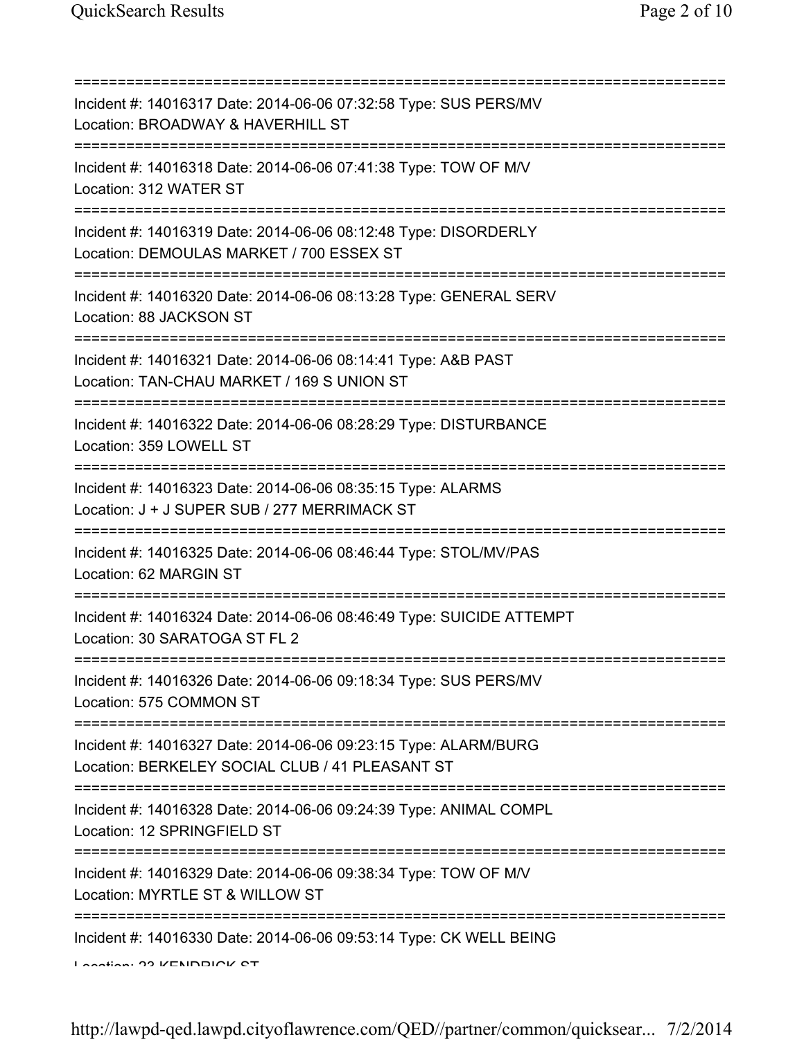| Incident #: 14016317 Date: 2014-06-06 07:32:58 Type: SUS PERS/MV<br>Location: BROADWAY & HAVERHILL ST<br>======================       |
|---------------------------------------------------------------------------------------------------------------------------------------|
| Incident #: 14016318 Date: 2014-06-06 07:41:38 Type: TOW OF M/V<br>Location: 312 WATER ST                                             |
| Incident #: 14016319 Date: 2014-06-06 08:12:48 Type: DISORDERLY<br>Location: DEMOULAS MARKET / 700 ESSEX ST<br>;===================   |
| Incident #: 14016320 Date: 2014-06-06 08:13:28 Type: GENERAL SERV<br>Location: 88 JACKSON ST<br>===================================== |
| Incident #: 14016321 Date: 2014-06-06 08:14:41 Type: A&B PAST<br>Location: TAN-CHAU MARKET / 169 S UNION ST                           |
| Incident #: 14016322 Date: 2014-06-06 08:28:29 Type: DISTURBANCE<br>Location: 359 LOWELL ST                                           |
| Incident #: 14016323 Date: 2014-06-06 08:35:15 Type: ALARMS<br>Location: J + J SUPER SUB / 277 MERRIMACK ST                           |
| Incident #: 14016325 Date: 2014-06-06 08:46:44 Type: STOL/MV/PAS<br>Location: 62 MARGIN ST                                            |
| Incident #: 14016324 Date: 2014-06-06 08:46:49 Type: SUICIDE ATTEMPT<br>Location: 30 SARATOGA ST FL 2                                 |
| Incident #: 14016326 Date: 2014-06-06 09:18:34 Type: SUS PERS/MV<br>Location: 575 COMMON ST                                           |
| Incident #: 14016327 Date: 2014-06-06 09:23:15 Type: ALARM/BURG<br>Location: BERKELEY SOCIAL CLUB / 41 PLEASANT ST                    |
| Incident #: 14016328 Date: 2014-06-06 09:24:39 Type: ANIMAL COMPL<br>Location: 12 SPRINGFIELD ST                                      |
| Incident #: 14016329 Date: 2014-06-06 09:38:34 Type: TOW OF M/V<br>Location: MYRTLE ST & WILLOW ST                                    |
| Incident #: 14016330 Date: 2014-06-06 09:53:14 Type: CK WELL BEING<br>רח מהוחחותם ומרי ההווהה ו                                       |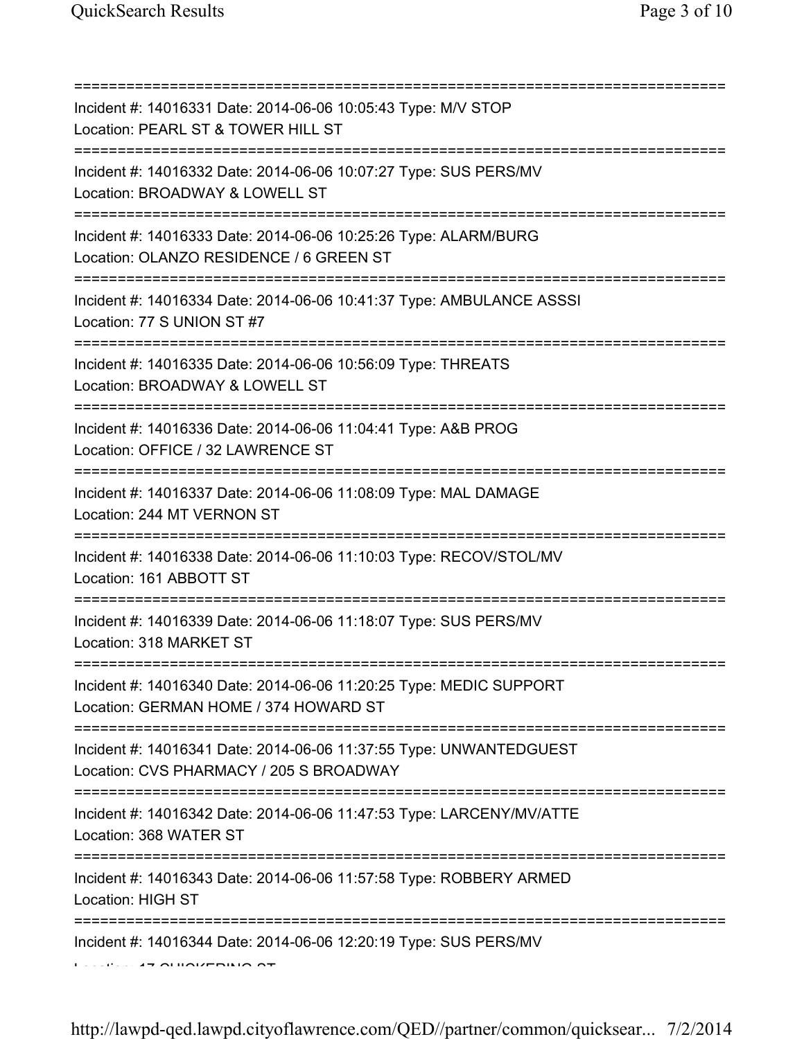| Incident #: 14016331 Date: 2014-06-06 10:05:43 Type: M/V STOP<br>Location: PEARL ST & TOWER HILL ST<br>================================ |
|-----------------------------------------------------------------------------------------------------------------------------------------|
| Incident #: 14016332 Date: 2014-06-06 10:07:27 Type: SUS PERS/MV<br>Location: BROADWAY & LOWELL ST<br>====================              |
| Incident #: 14016333 Date: 2014-06-06 10:25:26 Type: ALARM/BURG<br>Location: OLANZO RESIDENCE / 6 GREEN ST<br>:===============          |
| Incident #: 14016334 Date: 2014-06-06 10:41:37 Type: AMBULANCE ASSSI<br>Location: 77 S UNION ST #7                                      |
| Incident #: 14016335 Date: 2014-06-06 10:56:09 Type: THREATS<br>Location: BROADWAY & LOWELL ST                                          |
| Incident #: 14016336 Date: 2014-06-06 11:04:41 Type: A&B PROG<br>Location: OFFICE / 32 LAWRENCE ST                                      |
| Incident #: 14016337 Date: 2014-06-06 11:08:09 Type: MAL DAMAGE<br>Location: 244 MT VERNON ST                                           |
| Incident #: 14016338 Date: 2014-06-06 11:10:03 Type: RECOV/STOL/MV<br>Location: 161 ABBOTT ST                                           |
| Incident #: 14016339 Date: 2014-06-06 11:18:07 Type: SUS PERS/MV<br>Location: 318 MARKET ST                                             |
| Incident #: 14016340 Date: 2014-06-06 11:20:25 Type: MEDIC SUPPORT<br>Location: GERMAN HOME / 374 HOWARD ST                             |
| Incident #: 14016341 Date: 2014-06-06 11:37:55 Type: UNWANTEDGUEST<br>Location: CVS PHARMACY / 205 S BROADWAY                           |
| Incident #: 14016342 Date: 2014-06-06 11:47:53 Type: LARCENY/MV/ATTE<br>Location: 368 WATER ST                                          |
| Incident #: 14016343 Date: 2014-06-06 11:57:58 Type: ROBBERY ARMED<br>Location: HIGH ST                                                 |
| Incident #: 14016344 Date: 2014-06-06 12:20:19 Type: SUS PERS/MV                                                                        |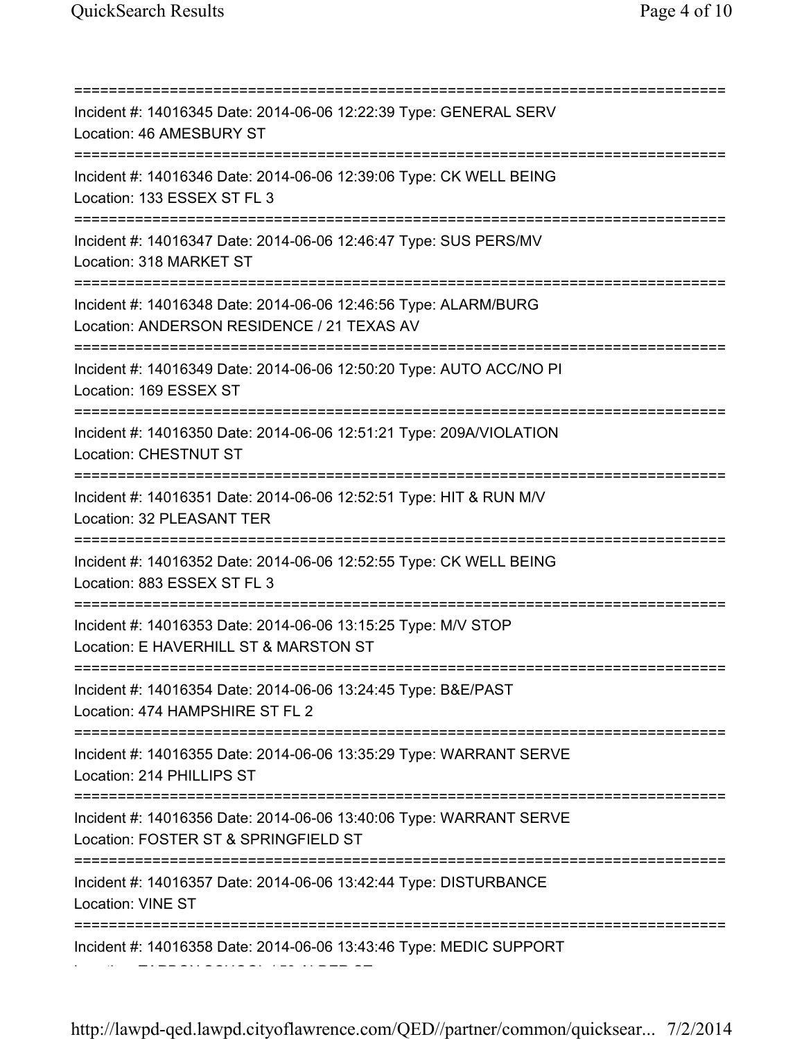=========================================================================== Incident #: 14016345 Date: 2014-06-06 12:22:39 Type: GENERAL SERV Location: 46 AMESBURY ST =========================================================================== Incident #: 14016346 Date: 2014-06-06 12:39:06 Type: CK WELL BEING Location: 133 ESSEX ST FL 3 =========================================================================== Incident #: 14016347 Date: 2014-06-06 12:46:47 Type: SUS PERS/MV Location: 318 MARKET ST =========================================================================== Incident #: 14016348 Date: 2014-06-06 12:46:56 Type: ALARM/BURG Location: ANDERSON RESIDENCE / 21 TEXAS AV =========================================================================== Incident #: 14016349 Date: 2014-06-06 12:50:20 Type: AUTO ACC/NO PI Location: 169 ESSEX ST =========================================================================== Incident #: 14016350 Date: 2014-06-06 12:51:21 Type: 209A/VIOLATION Location: CHESTNUT ST =========================================================================== Incident #: 14016351 Date: 2014-06-06 12:52:51 Type: HIT & RUN M/V Location: 32 PLEASANT TER =========================================================================== Incident #: 14016352 Date: 2014-06-06 12:52:55 Type: CK WELL BEING Location: 883 ESSEX ST FL 3 =========================================================================== Incident #: 14016353 Date: 2014-06-06 13:15:25 Type: M/V STOP Location: E HAVERHILL ST & MARSTON ST =========================================================================== Incident #: 14016354 Date: 2014-06-06 13:24:45 Type: B&E/PAST Location: 474 HAMPSHIRE ST FL 2 =========================================================================== Incident #: 14016355 Date: 2014-06-06 13:35:29 Type: WARRANT SERVE Location: 214 PHILLIPS ST =========================================================================== Incident #: 14016356 Date: 2014-06-06 13:40:06 Type: WARRANT SERVE Location: FOSTER ST & SPRINGFIELD ST =========================================================================== Incident #: 14016357 Date: 2014-06-06 13:42:44 Type: DISTURBANCE Location: VINE ST =========================================================================== Incident #: 14016358 Date: 2014-06-06 13:43:46 Type: MEDIC SUPPORT

http://lawpd-qed.lawpd.cityoflawrence.com/QED//partner/common/quicksear... 7/2/2014

Location: TARBOX SCHOOL / 59 ALDER ST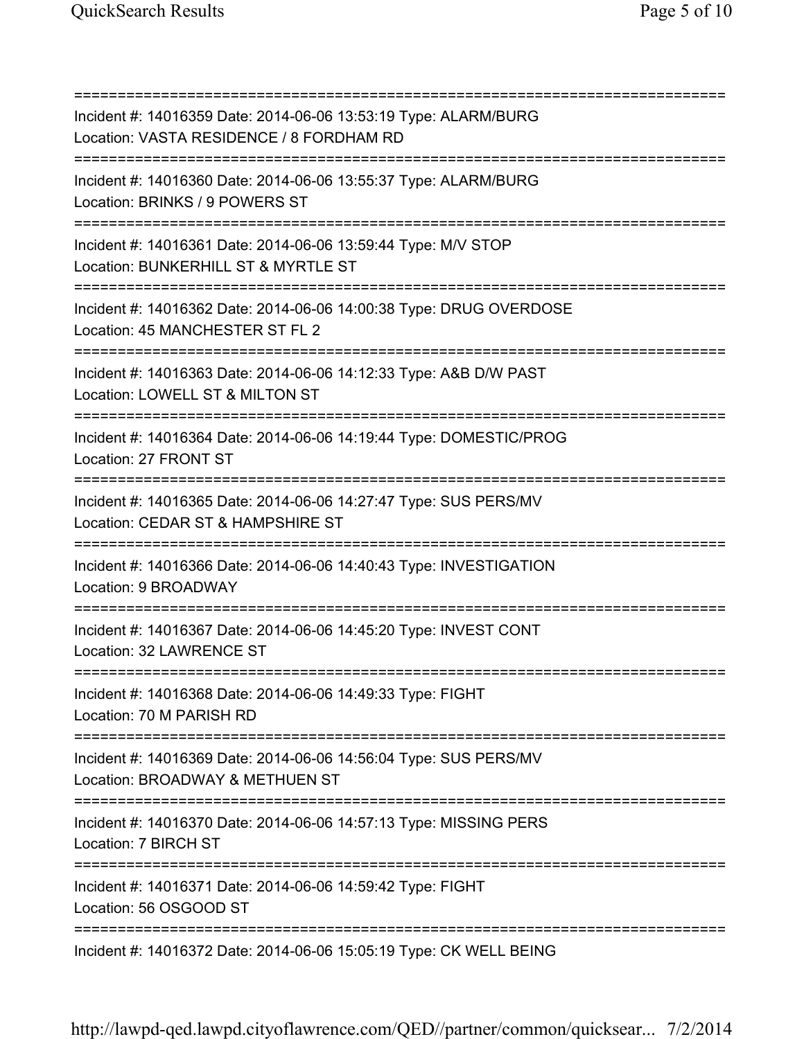=========================================================================== Incident #: 14016359 Date: 2014-06-06 13:53:19 Type: ALARM/BURG Location: VASTA RESIDENCE / 8 FORDHAM RD =========================================================================== Incident #: 14016360 Date: 2014-06-06 13:55:37 Type: ALARM/BURG Location: BRINKS / 9 POWERS ST =========================================================================== Incident #: 14016361 Date: 2014-06-06 13:59:44 Type: M/V STOP Location: BUNKERHILL ST & MYRTLE ST =========================================================================== Incident #: 14016362 Date: 2014-06-06 14:00:38 Type: DRUG OVERDOSE Location: 45 MANCHESTER ST FL 2 =========================================================================== Incident #: 14016363 Date: 2014-06-06 14:12:33 Type: A&B D/W PAST Location: LOWELL ST & MILTON ST =========================================================================== Incident #: 14016364 Date: 2014-06-06 14:19:44 Type: DOMESTIC/PROG Location: 27 FRONT ST =========================================================================== Incident #: 14016365 Date: 2014-06-06 14:27:47 Type: SUS PERS/MV Location: CEDAR ST & HAMPSHIRE ST =========================================================================== Incident #: 14016366 Date: 2014-06-06 14:40:43 Type: INVESTIGATION Location: 9 BROADWAY =========================================================================== Incident #: 14016367 Date: 2014-06-06 14:45:20 Type: INVEST CONT Location: 32 LAWRENCE ST =========================================================================== Incident #: 14016368 Date: 2014-06-06 14:49:33 Type: FIGHT Location: 70 M PARISH RD =========================================================================== Incident #: 14016369 Date: 2014-06-06 14:56:04 Type: SUS PERS/MV Location: BROADWAY & METHUEN ST =========================================================================== Incident #: 14016370 Date: 2014-06-06 14:57:13 Type: MISSING PERS Location: 7 BIRCH ST =========================================================================== Incident #: 14016371 Date: 2014-06-06 14:59:42 Type: FIGHT Location: 56 OSGOOD ST =========================================================================== Incident #: 14016372 Date: 2014-06-06 15:05:19 Type: CK WELL BEING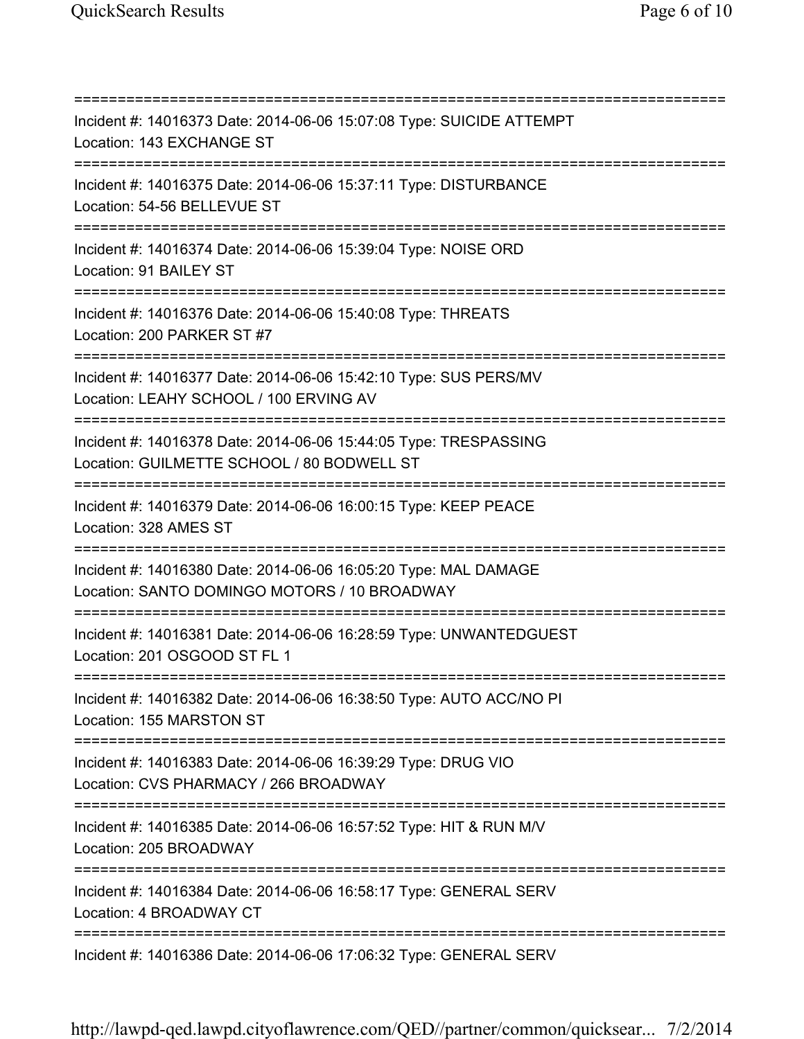=========================================================================== Incident #: 14016373 Date: 2014-06-06 15:07:08 Type: SUICIDE ATTEMPT Location: 143 EXCHANGE ST =========================================================================== Incident #: 14016375 Date: 2014-06-06 15:37:11 Type: DISTURBANCE Location: 54-56 BELLEVUE ST =========================================================================== Incident #: 14016374 Date: 2014-06-06 15:39:04 Type: NOISE ORD Location: 91 BAILEY ST =========================================================================== Incident #: 14016376 Date: 2014-06-06 15:40:08 Type: THREATS Location: 200 PARKER ST #7 =========================================================================== Incident #: 14016377 Date: 2014-06-06 15:42:10 Type: SUS PERS/MV Location: LEAHY SCHOOL / 100 ERVING AV =========================================================================== Incident #: 14016378 Date: 2014-06-06 15:44:05 Type: TRESPASSING Location: GUILMETTE SCHOOL / 80 BODWELL ST =========================================================================== Incident #: 14016379 Date: 2014-06-06 16:00:15 Type: KEEP PEACE Location: 328 AMES ST =========================================================================== Incident #: 14016380 Date: 2014-06-06 16:05:20 Type: MAL DAMAGE Location: SANTO DOMINGO MOTORS / 10 BROADWAY =========================================================================== Incident #: 14016381 Date: 2014-06-06 16:28:59 Type: UNWANTEDGUEST Location: 201 OSGOOD ST FL 1 =========================================================================== Incident #: 14016382 Date: 2014-06-06 16:38:50 Type: AUTO ACC/NO PI Location: 155 MARSTON ST =========================================================================== Incident #: 14016383 Date: 2014-06-06 16:39:29 Type: DRUG VIO Location: CVS PHARMACY / 266 BROADWAY =========================================================================== Incident #: 14016385 Date: 2014-06-06 16:57:52 Type: HIT & RUN M/V Location: 205 BROADWAY =========================================================================== Incident #: 14016384 Date: 2014-06-06 16:58:17 Type: GENERAL SERV Location: 4 BROADWAY CT =========================================================================== Incident #: 14016386 Date: 2014-06-06 17:06:32 Type: GENERAL SERV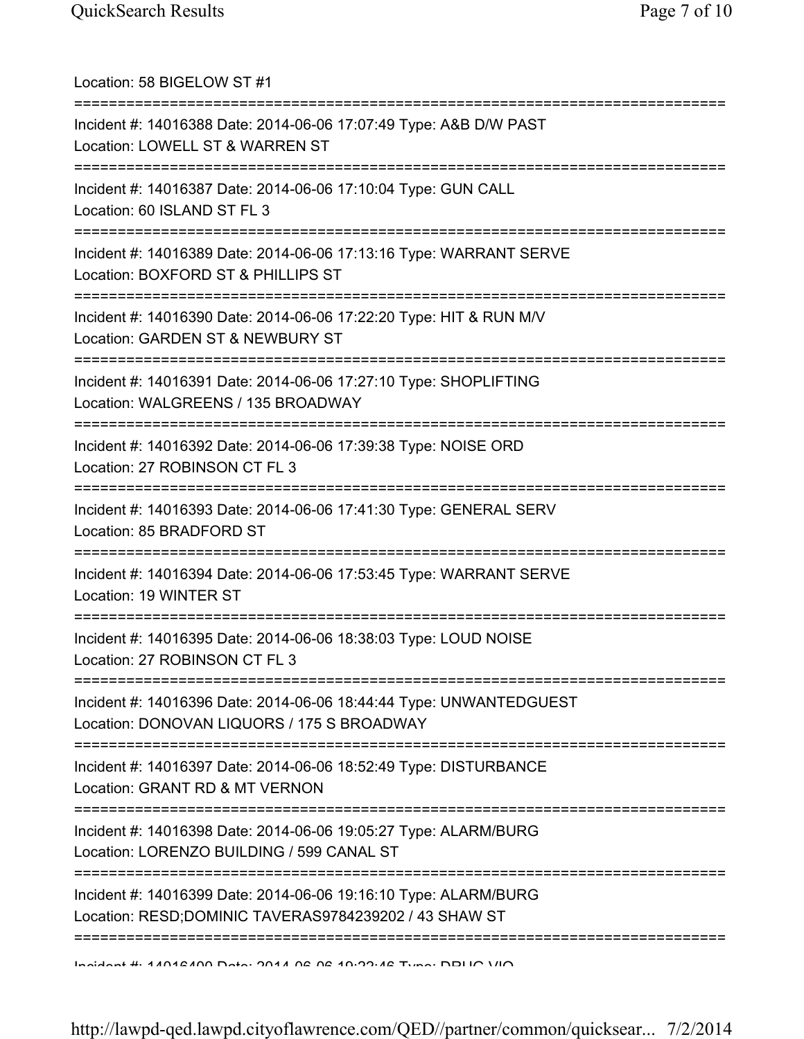| Location: 58 BIGELOW ST #1                                                                                                                                                           |
|--------------------------------------------------------------------------------------------------------------------------------------------------------------------------------------|
| Incident #: 14016388 Date: 2014-06-06 17:07:49 Type: A&B D/W PAST<br>Location: LOWELL ST & WARREN ST<br>===========================<br>===========================<br>-------------- |
| Incident #: 14016387 Date: 2014-06-06 17:10:04 Type: GUN CALL<br>Location: 60 ISLAND ST FL 3                                                                                         |
| Incident #: 14016389 Date: 2014-06-06 17:13:16 Type: WARRANT SERVE<br>Location: BOXFORD ST & PHILLIPS ST                                                                             |
| Incident #: 14016390 Date: 2014-06-06 17:22:20 Type: HIT & RUN M/V<br>Location: GARDEN ST & NEWBURY ST                                                                               |
| Incident #: 14016391 Date: 2014-06-06 17:27:10 Type: SHOPLIFTING<br>Location: WALGREENS / 135 BROADWAY<br>-------------------------------------                                      |
| Incident #: 14016392 Date: 2014-06-06 17:39:38 Type: NOISE ORD<br>Location: 27 ROBINSON CT FL 3                                                                                      |
| -----------------------<br>Incident #: 14016393 Date: 2014-06-06 17:41:30 Type: GENERAL SERV<br>Location: 85 BRADFORD ST                                                             |
| Incident #: 14016394 Date: 2014-06-06 17:53:45 Type: WARRANT SERVE<br>Location: 19 WINTER ST                                                                                         |
| Incident #: 14016395 Date: 2014-06-06 18:38:03 Type: LOUD NOISE<br>Location: 27 ROBINSON CT FL 3                                                                                     |
| Incident #: 14016396 Date: 2014-06-06 18:44:44 Type: UNWANTEDGUEST<br>Location: DONOVAN LIQUORS / 175 S BROADWAY                                                                     |
| Incident #: 14016397 Date: 2014-06-06 18:52:49 Type: DISTURBANCE<br>Location: GRANT RD & MT VERNON                                                                                   |
| Incident #: 14016398 Date: 2014-06-06 19:05:27 Type: ALARM/BURG<br>Location: LORENZO BUILDING / 599 CANAL ST                                                                         |
| Incident #: 14016399 Date: 2014-06-06 19:16:10 Type: ALARM/BURG<br>Location: RESD;DOMINIC TAVERAS9784239202 / 43 SHAW ST                                                             |
| Indidnat # 4 4046400 Data 0044 06 06 40.00.46 Tunn DDIIO VIO                                                                                                                         |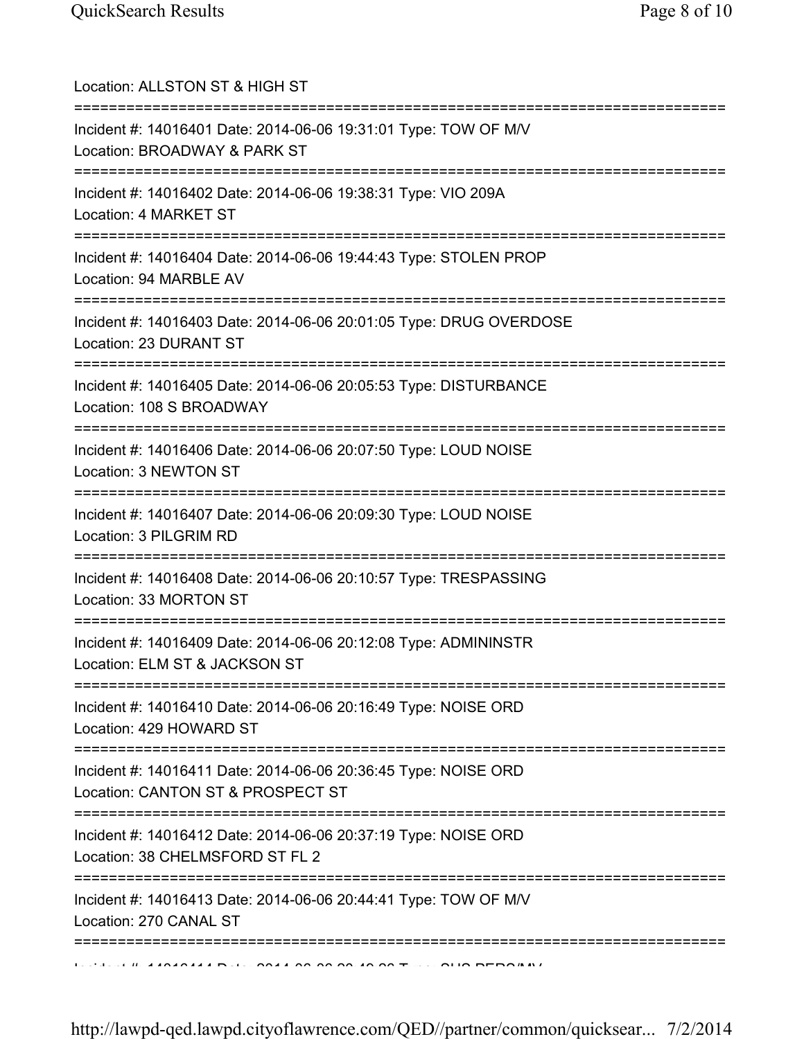| Location: ALLSTON ST & HIGH ST<br>;==================================                                                                      |
|--------------------------------------------------------------------------------------------------------------------------------------------|
| Incident #: 14016401 Date: 2014-06-06 19:31:01 Type: TOW OF M/V<br>Location: BROADWAY & PARK ST                                            |
| Incident #: 14016402 Date: 2014-06-06 19:38:31 Type: VIO 209A<br>Location: 4 MARKET ST<br>===============================                  |
| Incident #: 14016404 Date: 2014-06-06 19:44:43 Type: STOLEN PROP<br>Location: 94 MARBLE AV                                                 |
| Incident #: 14016403 Date: 2014-06-06 20:01:05 Type: DRUG OVERDOSE<br>Location: 23 DURANT ST                                               |
| :==================================<br>Incident #: 14016405 Date: 2014-06-06 20:05:53 Type: DISTURBANCE<br>Location: 108 S BROADWAY        |
| Incident #: 14016406 Date: 2014-06-06 20:07:50 Type: LOUD NOISE<br>Location: 3 NEWTON ST                                                   |
| Incident #: 14016407 Date: 2014-06-06 20:09:30 Type: LOUD NOISE<br>Location: 3 PILGRIM RD                                                  |
| ------------------------<br>Incident #: 14016408 Date: 2014-06-06 20:10:57 Type: TRESPASSING<br>Location: 33 MORTON ST                     |
| Incident #: 14016409 Date: 2014-06-06 20:12:08 Type: ADMININSTR<br>Location: ELM ST & JACKSON ST                                           |
| Incident #: 14016410 Date: 2014-06-06 20:16:49 Type: NOISE ORD<br>Location: 429 HOWARD ST                                                  |
| .----------------------------------<br>Incident #: 14016411 Date: 2014-06-06 20:36:45 Type: NOISE ORD<br>Location: CANTON ST & PROSPECT ST |
| Incident #: 14016412 Date: 2014-06-06 20:37:19 Type: NOISE ORD<br>Location: 38 CHELMSFORD ST FL 2                                          |
| Incident #: 14016413 Date: 2014-06-06 20:44:41 Type: TOW OF M/V<br>Location: 270 CANAL ST                                                  |
| ====================<br>INTERNATIONAL PROVISION AND ARRAIGNMENT OF ALLO PEROAM                                                             |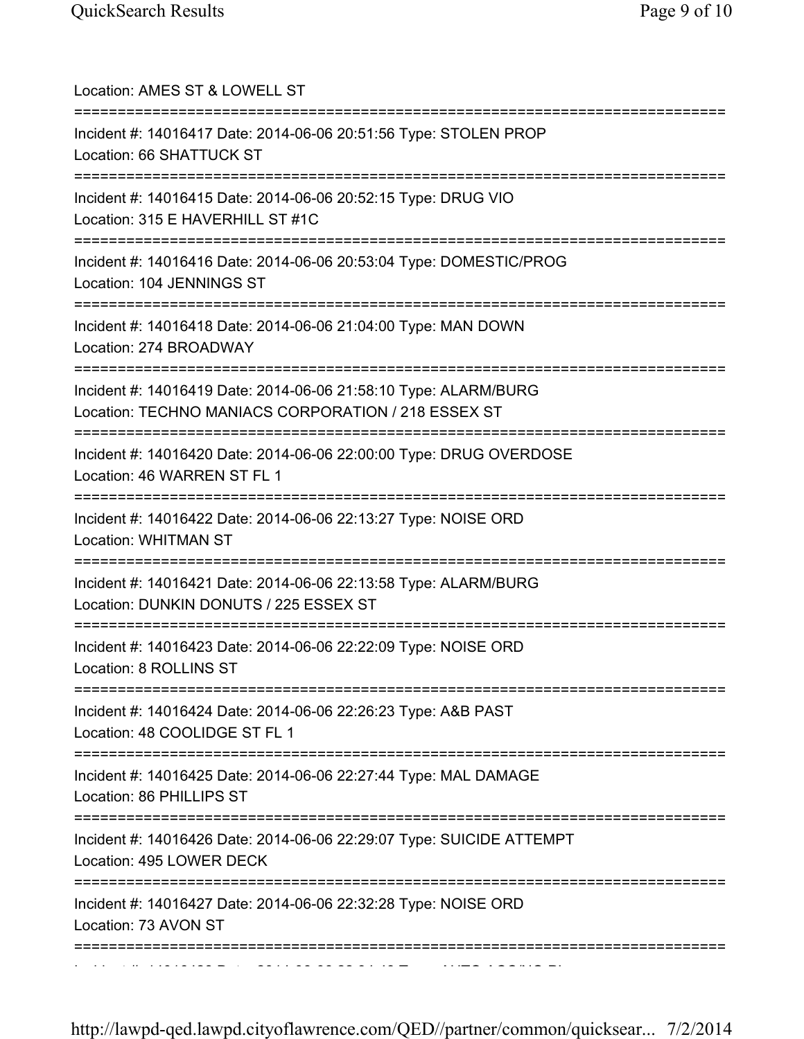| Location: AMES ST & LOWELL ST<br>======================                                                                                                       |
|---------------------------------------------------------------------------------------------------------------------------------------------------------------|
| Incident #: 14016417 Date: 2014-06-06 20:51:56 Type: STOLEN PROP<br>Location: 66 SHATTUCK ST                                                                  |
| Incident #: 14016415 Date: 2014-06-06 20:52:15 Type: DRUG VIO<br>Location: 315 E HAVERHILL ST #1C                                                             |
| Incident #: 14016416 Date: 2014-06-06 20:53:04 Type: DOMESTIC/PROG<br>Location: 104 JENNINGS ST                                                               |
| Incident #: 14016418 Date: 2014-06-06 21:04:00 Type: MAN DOWN<br>Location: 274 BROADWAY                                                                       |
| :==================================<br>Incident #: 14016419 Date: 2014-06-06 21:58:10 Type: ALARM/BURG<br>Location: TECHNO MANIACS CORPORATION / 218 ESSEX ST |
| Incident #: 14016420 Date: 2014-06-06 22:00:00 Type: DRUG OVERDOSE<br>Location: 46 WARREN ST FL 1                                                             |
| Incident #: 14016422 Date: 2014-06-06 22:13:27 Type: NOISE ORD<br><b>Location: WHITMAN ST</b>                                                                 |
| Incident #: 14016421 Date: 2014-06-06 22:13:58 Type: ALARM/BURG<br>Location: DUNKIN DONUTS / 225 ESSEX ST                                                     |
| ============================<br>Incident #: 14016423 Date: 2014-06-06 22:22:09 Type: NOISE ORD<br>Location: 8 ROLLINS ST                                      |
| Incident #: 14016424 Date: 2014-06-06 22:26:23 Type: A&B PAST<br>Location: 48 COOLIDGE ST FL 1                                                                |
| :=======<br>Incident #: 14016425 Date: 2014-06-06 22:27:44 Type: MAL DAMAGE<br>Location: 86 PHILLIPS ST                                                       |
| Incident #: 14016426 Date: 2014-06-06 22:29:07 Type: SUICIDE ATTEMPT<br>Location: 495 LOWER DECK                                                              |
| Incident #: 14016427 Date: 2014-06-06 22:32:28 Type: NOISE ORD<br>Location: 73 AVON ST                                                                        |
|                                                                                                                                                               |